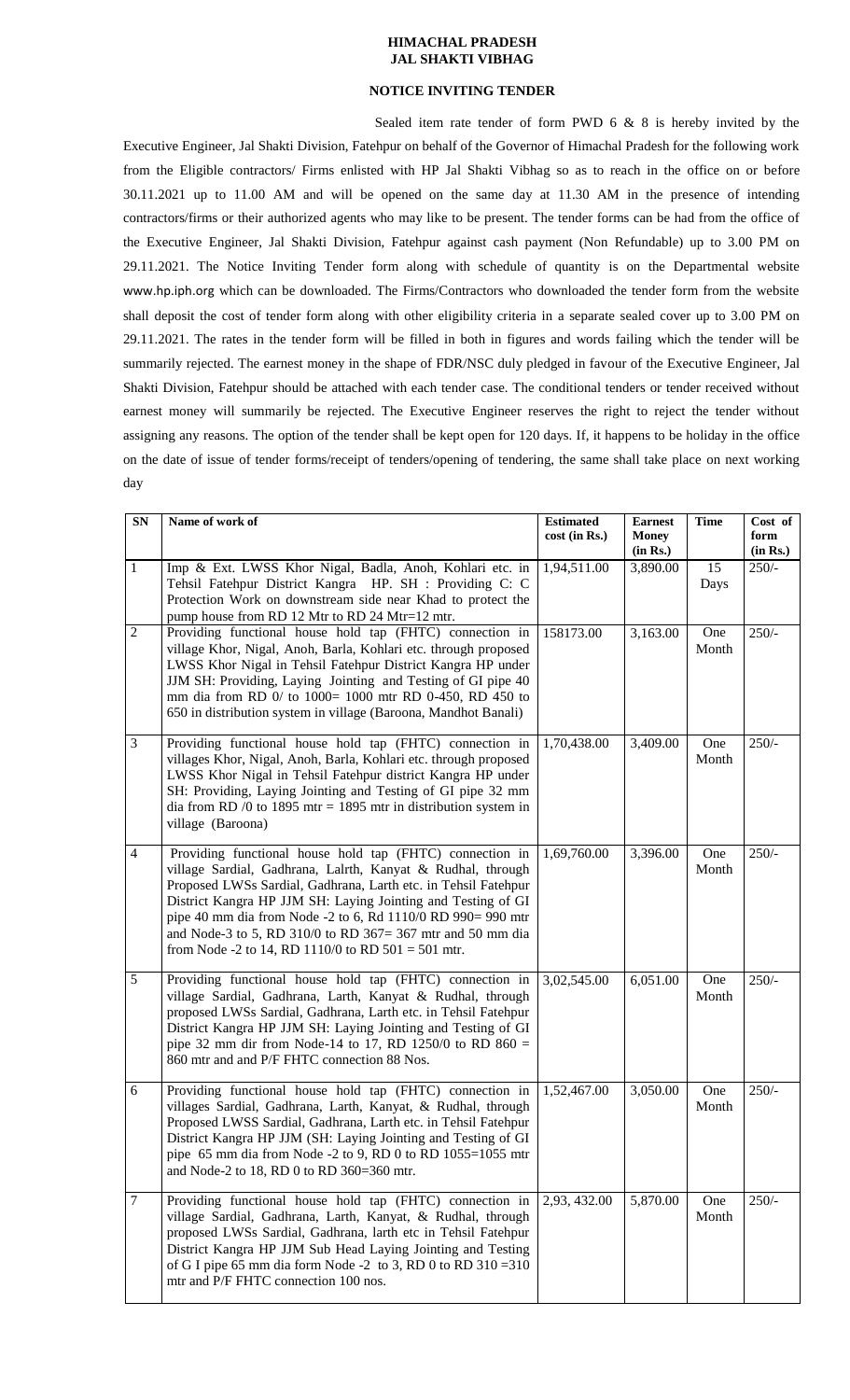## **HIMACHAL PRADESH JAL SHAKTI VIBHAG**

## **NOTICE INVITING TENDER**

Sealed item rate tender of form PWD 6 & 8 is hereby invited by the Executive Engineer, Jal Shakti Division, Fatehpur on behalf of the Governor of Himachal Pradesh for the following work from the Eligible contractors/ Firms enlisted with HP Jal Shakti Vibhag so as to reach in the office on or before 30.11.2021 up to 11.00 AM and will be opened on the same day at 11.30 AM in the presence of intending contractors/firms or their authorized agents who may like to be present. The tender forms can be had from the office of the Executive Engineer, Jal Shakti Division, Fatehpur against cash payment (Non Refundable) up to 3.00 PM on 29.11.2021. The Notice Inviting Tender form along with schedule of quantity is on the Departmental website [www.hp.iph.org](http://www.hp.iph.org/) which can be downloaded. The Firms/Contractors who downloaded the tender form from the website shall deposit the cost of tender form along with other eligibility criteria in a separate sealed cover up to 3.00 PM on 29.11.2021. The rates in the tender form will be filled in both in figures and words failing which the tender will be summarily rejected. The earnest money in the shape of FDR/NSC duly pledged in favour of the Executive Engineer, Jal Shakti Division, Fatehpur should be attached with each tender case. The conditional tenders or tender received without earnest money will summarily be rejected. The Executive Engineer reserves the right to reject the tender without assigning any reasons. The option of the tender shall be kept open for 120 days. If, it happens to be holiday in the office on the date of issue of tender forms/receipt of tenders/opening of tendering, the same shall take place on next working day

| SN             | Name of work of                                                                                                                                                                                                                                                                                                                                                                                                                                | <b>Estimated</b> | <b>Earnest</b>           | <b>Time</b>  | Cost of          |
|----------------|------------------------------------------------------------------------------------------------------------------------------------------------------------------------------------------------------------------------------------------------------------------------------------------------------------------------------------------------------------------------------------------------------------------------------------------------|------------------|--------------------------|--------------|------------------|
|                |                                                                                                                                                                                                                                                                                                                                                                                                                                                | cost (in Rs.)    | <b>Money</b><br>(in Rs.) |              | form<br>(in Rs.) |
| $\mathbf{1}$   | Imp & Ext. LWSS Khor Nigal, Badla, Anoh, Kohlari etc. in<br>Tehsil Fatehpur District Kangra HP. SH : Providing C: C<br>Protection Work on downstream side near Khad to protect the<br>pump house from RD 12 Mtr to RD 24 Mtr=12 mtr.                                                                                                                                                                                                           | 1,94,511.00      | 3,890.00                 | 15<br>Days   | $250/-$          |
| $\overline{2}$ | Providing functional house hold tap (FHTC) connection in<br>village Khor, Nigal, Anoh, Barla, Kohlari etc. through proposed<br>LWSS Khor Nigal in Tehsil Fatehpur District Kangra HP under<br>JJM SH: Providing, Laying Jointing and Testing of GI pipe 40<br>mm dia from RD 0/ to 1000= 1000 mtr RD 0-450, RD 450 to<br>650 in distribution system in village (Baroona, Mandhot Banali)                                                       | 158173.00        | 3,163.00                 | One<br>Month | $250/-$          |
| $\mathfrak{Z}$ | Providing functional house hold tap (FHTC) connection in<br>villages Khor, Nigal, Anoh, Barla, Kohlari etc. through proposed<br>LWSS Khor Nigal in Tehsil Fatehpur district Kangra HP under<br>SH: Providing, Laying Jointing and Testing of GI pipe 32 mm<br>dia from RD /0 to 1895 mtr = 1895 mtr in distribution system in<br>village (Baroona)                                                                                             | 1,70,438.00      | 3,409.00                 | One<br>Month | $250/-$          |
| $\overline{4}$ | Providing functional house hold tap (FHTC) connection in<br>village Sardial, Gadhrana, Lalrth, Kanyat & Rudhal, through<br>Proposed LWSs Sardial, Gadhrana, Larth etc. in Tehsil Fatehpur<br>District Kangra HP JJM SH: Laying Jointing and Testing of GI<br>pipe 40 mm dia from Node -2 to 6, Rd 1110/0 RD 990= 990 mtr<br>and Node-3 to 5, RD 310/0 to RD 367= 367 mtr and 50 mm dia<br>from Node -2 to 14, RD 1110/0 to RD $501 = 501$ mtr. | 1,69,760.00      | 3,396.00                 | One<br>Month | $250/-$          |
| 5              | Providing functional house hold tap (FHTC) connection in<br>village Sardial, Gadhrana, Larth, Kanyat & Rudhal, through<br>proposed LWSs Sardial, Gadhrana, Larth etc. in Tehsil Fatehpur<br>District Kangra HP JJM SH: Laying Jointing and Testing of GI<br>pipe 32 mm dir from Node-14 to 17, RD 1250/0 to RD $860 =$<br>860 mtr and and P/F FHTC connection 88 Nos.                                                                          | 3,02,545.00      | 6,051.00                 | One<br>Month | $250/-$          |
| 6              | Providing functional house hold tap (FHTC) connection in<br>villages Sardial, Gadhrana, Larth, Kanyat, & Rudhal, through<br>Proposed LWSS Sardial, Gadhrana, Larth etc. in Tehsil Fatehpur<br>District Kangra HP JJM (SH: Laying Jointing and Testing of GI<br>pipe $65$ mm dia from Node -2 to 9, RD 0 to RD 1055=1055 mtr<br>and Node-2 to 18, RD 0 to RD 360=360 mtr.                                                                       | 1,52,467.00      | 3,050.00                 | One<br>Month | $250/-$          |
| $\tau$         | Providing functional house hold tap (FHTC) connection in<br>village Sardial, Gadhrana, Larth, Kanyat, & Rudhal, through<br>proposed LWSs Sardial, Gadhrana, larth etc in Tehsil Fatehpur<br>District Kangra HP JJM Sub Head Laying Jointing and Testing<br>of G I pipe 65 mm dia form Node -2 to 3, RD 0 to RD $310 = 310$<br>mtr and P/F FHTC connection 100 nos.                                                                             | 2,93, 432.00     | 5,870.00                 | One<br>Month | $250/-$          |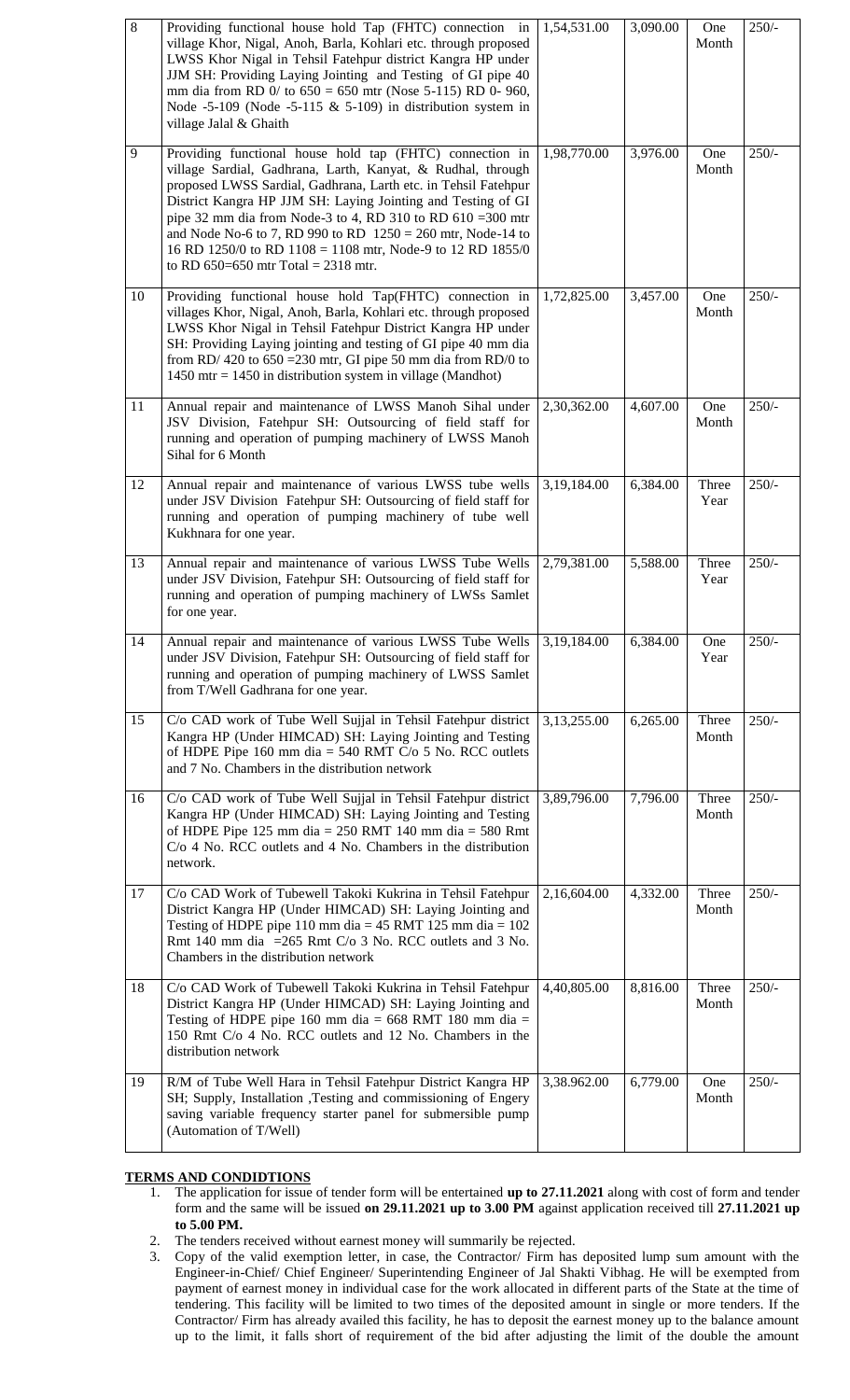| $\overline{8}$ | Providing functional house hold Tap (FHTC) connection in<br>village Khor, Nigal, Anoh, Barla, Kohlari etc. through proposed<br>LWSS Khor Nigal in Tehsil Fatehpur district Kangra HP under<br>JJM SH: Providing Laying Jointing and Testing of GI pipe 40<br>mm dia from RD 0/ to $650 = 650$ mtr (Nose 5-115) RD 0-960,<br>Node -5-109 (Node -5-115 $&$ 5-109) in distribution system in<br>village Jalal & Ghaith                                                                              | 1,54,531.00 | 3,090.00 | One<br>Month   | $250/-$ |
|----------------|--------------------------------------------------------------------------------------------------------------------------------------------------------------------------------------------------------------------------------------------------------------------------------------------------------------------------------------------------------------------------------------------------------------------------------------------------------------------------------------------------|-------------|----------|----------------|---------|
| 9              | Providing functional house hold tap (FHTC) connection in<br>village Sardial, Gadhrana, Larth, Kanyat, & Rudhal, through<br>proposed LWSS Sardial, Gadhrana, Larth etc. in Tehsil Fatehpur<br>District Kangra HP JJM SH: Laying Jointing and Testing of GI<br>pipe 32 mm dia from Node-3 to 4, RD 310 to RD 610 = 300 mtr<br>and Node No-6 to 7, RD 990 to RD $1250 = 260$ mtr, Node-14 to<br>16 RD 1250/0 to RD 1108 = 1108 mtr, Node-9 to 12 RD 1855/0<br>to RD $650=650$ mtr Total = 2318 mtr. | 1,98,770.00 | 3,976.00 | One<br>Month   | $250/-$ |
| 10             | Providing functional house hold Tap(FHTC) connection in<br>villages Khor, Nigal, Anoh, Barla, Kohlari etc. through proposed<br>LWSS Khor Nigal in Tehsil Fatehpur District Kangra HP under<br>SH: Providing Laying jointing and testing of GI pipe 40 mm dia<br>from RD/ 420 to $650 = 230$ mtr, GI pipe 50 mm dia from RD/0 to<br>1450 mtr = 1450 in distribution system in village (Mandhot)                                                                                                   | 1,72,825.00 | 3,457.00 | One<br>Month   | $250/-$ |
| 11             | Annual repair and maintenance of LWSS Manoh Sihal under<br>JSV Division, Fatehpur SH: Outsourcing of field staff for<br>running and operation of pumping machinery of LWSS Manoh<br>Sihal for 6 Month                                                                                                                                                                                                                                                                                            | 2,30,362.00 | 4,607.00 | One<br>Month   | $250/-$ |
| 12             | Annual repair and maintenance of various LWSS tube wells<br>under JSV Division Fatehpur SH: Outsourcing of field staff for<br>running and operation of pumping machinery of tube well<br>Kukhnara for one year.                                                                                                                                                                                                                                                                                  | 3,19,184.00 | 6,384.00 | Three<br>Year  | $250/-$ |
| 13             | Annual repair and maintenance of various LWSS Tube Wells<br>under JSV Division, Fatehpur SH: Outsourcing of field staff for<br>running and operation of pumping machinery of LWSs Samlet<br>for one year.                                                                                                                                                                                                                                                                                        | 2,79,381.00 | 5,588.00 | Three<br>Year  | $250/-$ |
| 14             | Annual repair and maintenance of various LWSS Tube Wells 3,19,184.00<br>under JSV Division, Fatehpur SH: Outsourcing of field staff for<br>running and operation of pumping machinery of LWSS Samlet<br>from T/Well Gadhrana for one year.                                                                                                                                                                                                                                                       |             | 6,384.00 | One<br>Year    | 250/    |
| 15             | C/o CAD work of Tube Well Sujjal in Tehsil Fatehpur district<br>Kangra HP (Under HIMCAD) SH: Laying Jointing and Testing<br>of HDPE Pipe 160 mm dia = $540$ RMT C/o 5 No. RCC outlets<br>and 7 No. Chambers in the distribution network                                                                                                                                                                                                                                                          | 3,13,255.00 | 6,265.00 | Three<br>Month | $250/-$ |
| 16             | C/o CAD work of Tube Well Sujjal in Tehsil Fatehpur district<br>Kangra HP (Under HIMCAD) SH: Laying Jointing and Testing<br>of HDPE Pipe 125 mm dia = $250$ RMT 140 mm dia = $580$ Rmt<br>C/o 4 No. RCC outlets and 4 No. Chambers in the distribution<br>network.                                                                                                                                                                                                                               | 3,89,796.00 | 7,796.00 | Three<br>Month | $250/-$ |
| 17             | C/o CAD Work of Tubewell Takoki Kukrina in Tehsil Fatehpur<br>District Kangra HP (Under HIMCAD) SH: Laying Jointing and<br>Testing of HDPE pipe 110 mm dia = $45$ RMT 125 mm dia = $102$<br>Rmt 140 mm dia = 265 Rmt C/o 3 No. RCC outlets and 3 No.<br>Chambers in the distribution network                                                                                                                                                                                                     | 2,16,604.00 | 4,332.00 | Three<br>Month | $250/-$ |
| 18             | C/o CAD Work of Tubewell Takoki Kukrina in Tehsil Fatehpur<br>District Kangra HP (Under HIMCAD) SH: Laying Jointing and<br>Testing of HDPE pipe 160 mm dia = 668 RMT 180 mm dia =<br>150 Rmt C/o 4 No. RCC outlets and 12 No. Chambers in the<br>distribution network                                                                                                                                                                                                                            | 4,40,805.00 | 8,816.00 | Three<br>Month | $250/-$ |
| 19             | R/M of Tube Well Hara in Tehsil Fatehpur District Kangra HP<br>SH; Supply, Installation ,Testing and commissioning of Engery<br>saving variable frequency starter panel for submersible pump<br>(Automation of T/Well)                                                                                                                                                                                                                                                                           | 3,38.962.00 | 6,779.00 | One<br>Month   | $250/-$ |

## **TERMS AND CONDIDTIONS**

- 1. The application for issue of tender form will be entertained **up to 27.11.2021** along with cost of form and tender form and the same will be issued **on 29.11.2021 up to 3.00 PM** against application received till **27.11.2021 up to 5.00 PM.**
- 2. The tenders received without earnest money will summarily be rejected.
- 3. Copy of the valid exemption letter, in case, the Contractor/ Firm has deposited lump sum amount with the Engineer-in-Chief/ Chief Engineer/ Superintending Engineer of Jal Shakti Vibhag. He will be exempted from payment of earnest money in individual case for the work allocated in different parts of the State at the time of tendering. This facility will be limited to two times of the deposited amount in single or more tenders. If the Contractor/ Firm has already availed this facility, he has to deposit the earnest money up to the balance amount up to the limit, it falls short of requirement of the bid after adjusting the limit of the double the amount